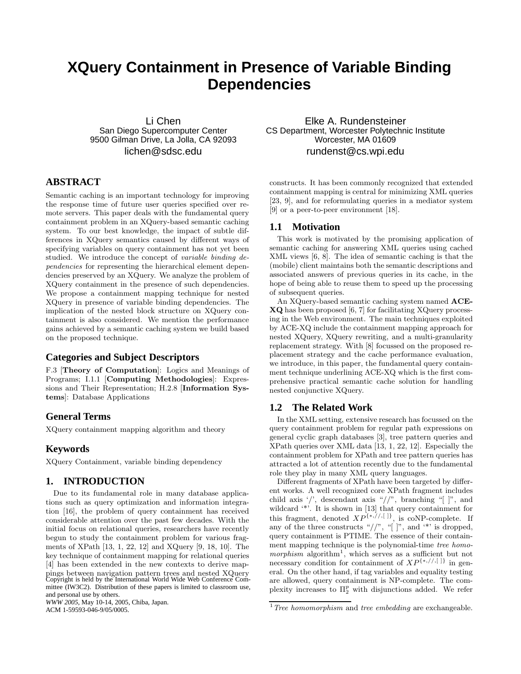# **XQuery Containment in Presence of Variable Binding Dependencies**

Li Chen San Diego Supercomputer Center 9500 Gilman Drive, La Jolla, CA 92093 lichen@sdsc.edu

# **ABSTRACT**

Semantic caching is an important technology for improving the response time of future user queries specified over remote servers. This paper deals with the fundamental query containment problem in an XQuery-based semantic caching system. To our best knowledge, the impact of subtle differences in XQuery semantics caused by different ways of specifying variables on query containment has not yet been studied. We introduce the concept of variable binding dependencies for representing the hierarchical element dependencies preserved by an XQuery. We analyze the problem of XQuery containment in the presence of such dependencies. We propose a containment mapping technique for nested XQuery in presence of variable binding dependencies. The implication of the nested block structure on XQuery containment is also considered. We mention the performance gains achieved by a semantic caching system we build based on the proposed technique.

# **Categories and Subject Descriptors**

F.3 [**Theory of Computation**]: Logics and Meanings of Programs; I.1.1 [**Computing Methodologies**]: Expressions and Their Representation; H.2.8 [**Information Systems**]: Database Applications

# **General Terms**

XQuery containment mapping algorithm and theory

# **Keywords**

XQuery Containment, variable binding dependency

## **1. INTRODUCTION**

Due to its fundamental role in many database applications such as query optimization and information integration [16], the problem of query containment has received considerable attention over the past few decades. With the initial focus on relational queries, researchers have recently begun to study the containment problem for various fragments of XPath [13, 1, 22, 12] and XQuery [9, 18, 10]. The key technique of containment mapping for relational queries [4] has been extended in the new contexts to derive mappings between navigation pattern trees and nested XQuery Copyright is held by the International World Wide Web Conference Committee (IW3C2). Distribution of these papers is limited to classroom use, and personal use by others.

*WWW 2005*, May 10-14, 2005, Chiba, Japan. ACM 1-59593-046-9/05/0005.

Elke A. Rundensteiner CS Department, Worcester Polytechnic Institute Worcester, MA 01609 rundenst@cs.wpi.edu

constructs. It has been commonly recognized that extended containment mapping is central for minimizing XML queries [23, 9], and for reformulating queries in a mediator system [9] or a peer-to-peer environment [18].

#### **1.1 Motivation**

This work is motivated by the promising application of semantic caching for answering XML queries using cached XML views [6, 8]. The idea of semantic caching is that the (mobile) client maintains both the semantic descriptions and associated answers of previous queries in its cache, in the hope of being able to reuse them to speed up the processing of subsequent queries.

An XQuery-based semantic caching system named **ACE-XQ** has been proposed [6, 7] for facilitating XQuery processing in the Web environment. The main techniques exploited by ACE-XQ include the containment mapping approach for nested XQuery, XQuery rewriting, and a multi-granularity replacement strategy. With [8] focussed on the proposed replacement strategy and the cache performance evaluation, we introduce, in this paper, the fundamental query containment technique underlining ACE-XQ which is the first comprehensive practical semantic cache solution for handling nested conjunctive XQuery.

#### **1.2 The Related Work**

In the XML setting, extensive research has focussed on the query containment problem for regular path expressions on general cyclic graph databases [3], tree pattern queries and XPath queries over XML data [13, 1, 22, 12]. Especially the containment problem for XPath and tree pattern queries has attracted a lot of attention recently due to the fundamental role they play in many XML query languages.

Different fragments of XPath have been targeted by different works. A well recognized core XPath fragment includes child axis '/', descendant axis "//", branching "[ $\vert$ ", and wildcard '\*'. It is shown in [13] that query containment for this fragment, denoted  $XP^{\{*,//,[]}\}$ , is coNP-complete. If any of the three constructs " $//$ ", "[]", and '\*' is dropped, query containment is PTIME. The essence of their containment mapping technique is the polynomial-time tree homomorphism algorithm<sup>1</sup>, which serves as a sufficient but not necessary condition for containment of  $XP^{\{*,//,\llap[1\]}}$  in general. On the other hand, if tag variables and equality testing are allowed, query containment is NP-complete. The complexity increases to Π*<sup>p</sup>* <sup>2</sup> with disjunctions added. We refer

 $^{\rm 1}$  Tree homomorphism and tree embedding are exchangeable.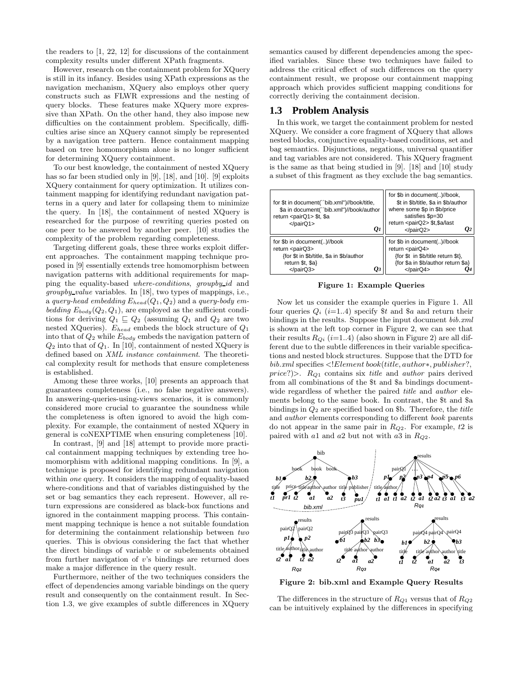the readers to [1, 22, 12] for discussions of the containment complexity results under different XPath fragments.

However, research on the containment problem for XQuery is still in its infancy. Besides using XPath expressions as the navigation mechanism, XQuery also employs other query constructs such as FLWR expressions and the nesting of query blocks. These features make XQuery more expressive than XPath. On the other hand, they also impose new difficulties on the containment problem. Specifically, difficulties arise since an XQuery cannot simply be represented by a navigation tree pattern. Hence containment mapping based on tree homomorphism alone is no longer sufficient for determining XQuery containment.

To our best knowledge, the containment of nested XQuery has so far been studied only in [9], [18], and [10]. [9] exploits XQuery containment for query optimization. It utilizes containment mapping for identifying redundant navigation patterns in a query and later for collapsing them to minimize the query. In [18], the containment of nested XQuery is researched for the purpose of rewriting queries posted on one peer to be answered by another peer. [10] studies the complexity of the problem regarding completeness.

Targeting different goals, these three works exploit different approaches. The containment mapping technique proposed in [9] essentially extends tree homomorphism between navigation patterns with additional requirements for mapping the equality-based where-conditions, groupby id and groupby value variables. In [18], two types of mappings, i.e., a query-head embedding  $E_{head}(Q_1, Q_2)$  and a query-body embedding  $E_{body}(Q_2, Q_1)$ , are employed as the sufficient conditions for deriving  $Q_1 \sqsubseteq Q_2$  (assuming  $Q_1$  and  $Q_2$  are two nested XQueries). E*head* embeds the block structure of Q<sup>1</sup> into that of Q<sup>2</sup> while E*body* embeds the navigation pattern of  $Q_2$  into that of  $Q_1$ . In [10], containment of nested XQuery is defined based on XML instance containment. The theoretical complexity result for methods that ensure completeness is established.

Among these three works, [10] presents an approach that guarantees completeness (i.e., no false negative answers). In answering-queries-using-views scenarios, it is commonly considered more crucial to guarantee the soundness while the completeness is often ignored to avoid the high complexity. For example, the containment of nested XQuery in general is coNEXPTIME when ensuring completeness [10].

In contrast, [9] and [18] attempt to provide more practical containment mapping techniques by extending tree homomorphism with additional mapping conditions. In [9], a technique is proposed for identifying redundant navigation within *one* query. It considers the mapping of equality-based where-conditions and that of variables distinguished by the set or bag semantics they each represent. However, all return expressions are considered as black-box functions and ignored in the containment mapping process. This containment mapping technique is hence a not suitable foundation for determining the containment relationship between two queries. This is obvious considering the fact that whether the direct bindings of variable  $v$  or subelements obtained from further navigation of v's bindings are returned does make a major difference in the query result.

Furthermore, neither of the two techniques considers the effect of dependencies among variable bindings on the query result and consequently on the containment result. In Section 1.3, we give examples of subtle differences in XQuery

semantics caused by different dependencies among the specified variables. Since these two techniques have failed to address the critical effect of such differences on the query containment result, we propose our containment mapping approach which provides sufficient mapping conditions for correctly deriving the containment decision.

#### **1.3 Problem Analysis**

In this work, we target the containment problem for nested XQuery. We consider a core fragment of XQuery that allows nested blocks, conjunctive equality-based conditions, set and bag semantics. Disjunctions, negations, universal quantifier and tag variables are not considered. This XQuery fragment is the same as that being studied in [9]. [18] and [10] study a subset of this fragment as they exclude the bag semantics.

| for \$t in document("bib.xml")//book/title,<br>\$a in document("bib.xml")//book/author<br>return <pairq1> \$t, \$a<br/><math>&lt;</math>/pairQ1&gt;</pairq1> | for \$b in document()//book,<br>where some \$p in \$b/price<br>satisfies \$p=30<br>return <pairq2> \$t,\$a/last<br/>O1<br/><math>&lt;</math>/pairQ2&gt;</pairq2>              | \$t in \$b/title, \$a in \$b/author<br>" |  |
|--------------------------------------------------------------------------------------------------------------------------------------------------------------|-------------------------------------------------------------------------------------------------------------------------------------------------------------------------------|------------------------------------------|--|
| for \$b in document()//book<br>return <pairq3><br/>{for \$t in \$b/title, \$a in \$b/author<br/>return \$t, \$a}<br/><math>&lt;</math>/pairQ3&gt;</pairq3>   | for \$b in document()//book<br>return <pairq4><br/>{for \$t in \$b/title return \$t},<br/>{for \$a in \$b/author return \$a}<br/><math>&lt;</math>/pairQ4&gt;<br/>U3</pairq4> |                                          |  |

**Figure 1: Example Queries**

Now let us consider the example queries in Figure 1. All four queries  $Q_i$  (*i*=1..4) specify \$t and \$a and return their bindings in the results. Suppose the input document bib.xml is shown at the left top corner in Figure 2, we can see that their results  $R_{Qi}$  (*i*=1..4) (also shown in Figure 2) are all different due to the subtle differences in their variable specifications and nested block structures. Suppose that the DTD for bib.xml specifies <!Element book(title, author∗, publisher?, price?)>. R*<sup>Q</sup>*<sup>1</sup> contains six title and author pairs derived from all combinations of the \$t and \$a bindings documentwide regardless of whether the paired *title* and *author* elements belong to the same book. In contrast, the \$t and \$a bindings in  $Q_2$  are specified based on \$b. Therefore, the *title* and author elements corresponding to different book parents do not appear in the same pair in R*<sup>Q</sup>*2. For example, t2 is paired with a1 and a2 but not with a3 in R*<sup>Q</sup>*2.



**Figure 2: bib.xml and Example Query Results**

The differences in the structure of R*<sup>Q</sup>*<sup>1</sup> versus that of R*<sup>Q</sup>*<sup>2</sup> can be intuitively explained by the differences in specifying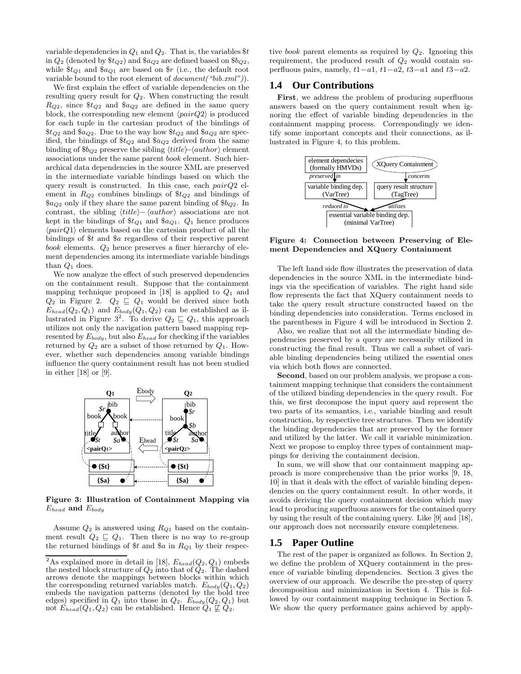variable dependencies in  $Q_1$  and  $Q_2$ . That is, the variables  $t$ in  $Q_2$  (denoted by  $t_{Q2}$ ) and  $t_{Q2}$  are defined based on  $t_{Q2}$ , while  $\pounds_{Q_1}$  and  $\pounds_{Q_1}$  are based on  $\pounds$  (i.e., the default root variable bound to the root element of *document*("bib.xml")).

We first explain the effect of variable dependencies on the resulting query result for  $Q_2$ . When constructing the result  $R_{O2}$ , since  $\text{\$t}_{O2}$  and  $\text{\$a}_{O2}$  are defined in the same query block, the corresponding new element  $\langle pairQ2 \rangle$  is produced for each tuple in the cartesian product of the bindings of  $$t_{Q2}$$  and  $$a_{Q2}$ . Due to the way how  $$t_{Q2}$$  and  $$a_{Q2}$  are specified, the bindings of \$t*<sup>Q</sup>*<sup>2</sup> and \$a*<sup>Q</sup>*<sup>2</sup> derived from the same binding of  $$b_{Q2}$  preserve the sibling  $\langle title \rangle$ - $\langle author \rangle$  element associations under the same parent book element. Such hierarchical data dependencies in the source XML are preserved in the intermediate variable bindings based on which the query result is constructed. In this case, each  $pairQ2$  element in R*<sup>Q</sup>*<sup>2</sup> combines bindings of \$t*<sup>Q</sup>*<sup>2</sup> and bindings of  $\$_{a_{Q2}}$  only if they share the same parent binding of  $\$_{Q2}$ . In contrast, the sibling  $\langle title \rangle - \langle author \rangle$  associations are not kept in the bindings of  $t_{Q1}$  and  $t_{Q1}$ .  $Q_1$  hence produces  $\langle pairQ1 \rangle$  elements based on the cartesian product of all the bindings of \$t and \$a regardless of their respective parent  $book$  elements.  $Q_2$  hence preserves a finer hierarchy of element dependencies among its intermediate variable bindings than  $Q_1$  does.

We now analyze the effect of such preserved dependencies on the containment result. Suppose that the containment mapping technique proposed in [18] is applied to  $Q_1$  and  $Q_2$  in Figure 2.  $Q_2 \subseteq Q_1$  would be derived since both  $E_{head}(Q_2, Q_1)$  and  $E_{body}(Q_1, Q_2)$  can be established as illustrated in Figure  $3^2$ . To derive  $Q_2 \sqsubseteq Q_1$ , this approach utilizes not only the navigation pattern based mapping represented by E*body*, but also E*head* for checking if the variables returned by  $Q_2$  are a subset of those returned by  $Q_1$ . However, whether such dependencies among variable bindings influence the query containment result has not been studied in either [18] or [9].



**Figure 3: Illustration of Containment Mapping via** E*head* **and** E*body*

Assume Q<sup>2</sup> is answered using R*<sup>Q</sup>*<sup>1</sup> based on the containment result  $Q_2 \subseteq Q_1$ . Then there is no way to re-group the returned bindings of \$t and \$a in R*<sup>Q</sup>*<sup>1</sup> by their respective book parent elements as required by  $Q_2$ . Ignoring this requirement, the produced result of  $Q_2$  would contain superfluous pairs, namely,  $t1-a1$ ,  $t1-a2$ ,  $t3-a1$  and  $t3-a2$ .

#### **1.4 Our Contributions**

**First**, we address the problem of producing superfluous answers based on the query containment result when ignoring the effect of variable binding dependencies in the containment mapping process. Correspondingly we identify some important concepts and their connections, as illustrated in Figure 4, to this problem.



**Figure 4: Connection between Preserving of Element Dependencies and XQuery Containment**

The left hand side flow illustrates the preservation of data dependencies in the source XML in the intermediate bindings via the specification of variables. The right hand side flow represents the fact that XQuery containment needs to take the query result structure constructed based on the binding dependencies into consideration. Terms enclosed in the parentheses in Figure 4 will be introduced in Section 2.

Also, we realize that not all the intermediate binding dependencies preserved by a query are necessarily utilized in constructing the final result. Thus we call a subset of variable binding dependencies being utilized the essential ones via which both flows are connected.

**Second**, based on our problem analysis, we propose a containment mapping technique that considers the containment of the utilized binding dependencies in the query result. For this, we first decompose the input query and represent the two parts of its semantics, i.e., variable binding and result construction, by respective tree structures. Then we identify the binding dependencies that are preserved by the former and utilized by the latter. We call it variable minimization. Next we propose to employ three types of containment mappings for deriving the containment decision.

In sum, we will show that our containment mapping approach is more comprehensive than the prior works [9, 18, 10] in that it deals with the effect of variable binding dependencies on the query containment result. In other words, it avoids deriving the query containment decision which may lead to producing superfluous answers for the contained query by using the result of the containing query. Like [9] and [18], our approach does not necessarily ensure completeness.

#### **1.5 Paper Outline**

The rest of the paper is organized as follows. In Section 2, we define the problem of XQuery containment in the presence of variable binding dependencies. Section 3 gives the overview of our approach. We describe the pre-step of query decomposition and minimization in Section 4. This is followed by our containment mapping technique in Section 5. We show the query performance gains achieved by apply-

<sup>&</sup>lt;sup>2</sup>As explained more in detail in [18],  $E_{head}(Q_2, Q_1)$  embeds the nested block structure of  $Q_2$  into that of  $Q_2$ . The dashed arrows denote the mappings between blocks within which the corresponding returned variables match.  $E_{body}(Q_1, Q_2)$ embeds the navigation patterns (denoted by the bold tree edges) specified in  $Q_1$  into those in  $Q_2$ .  $E_{body}(Q_2, Q_1)$  but not  $E_{head}(Q_1, Q_2)$  can be established. Hence  $Q_1 \not\sqsubseteq Q_2$ .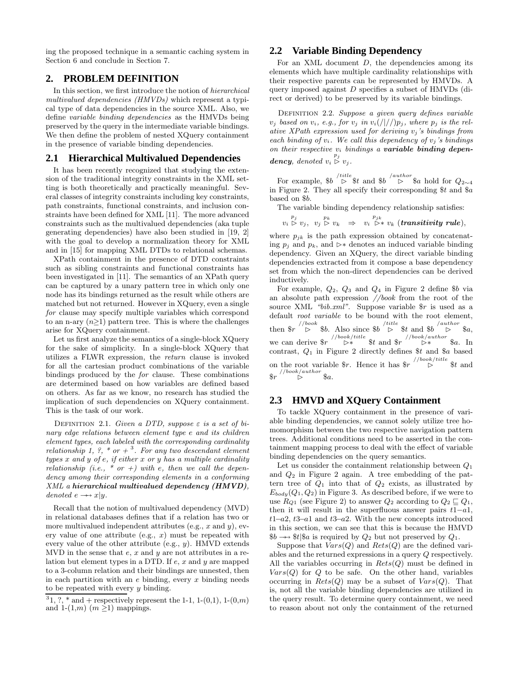ing the proposed technique in a semantic caching system in Section 6 and conclude in Section 7.

# **2. PROBLEM DEFINITION**

In this section, we first introduce the notion of hierarchical multivalued dependencies (HMVDs) which represent a typical type of data dependencies in the source XML. Also, we define variable binding dependencies as the HMVDs being preserved by the query in the intermediate variable bindings. We then define the problem of nested XQuery containment in the presence of variable binding dependencies.

## **2.1 Hierarchical Multivalued Dependencies**

It has been recently recognized that studying the extension of the traditional integrity constraints in the XML setting is both theoretically and practically meaningful. Several classes of integrity constraints including key constraints, path constraints, functional constraints, and inclusion constraints have been defined for XML [11]. The more advanced constraints such as the multivalued dependencies (aka tuple generating dependencies) have also been studied in [19, 2] with the goal to develop a normalization theory for XML and in [15] for mapping XML DTDs to relational schemas.

XPath containment in the presence of DTD constraints such as sibling constraints and functional constraints has been investigated in [11]. The semantics of an XPath query can be captured by a unary pattern tree in which only one node has its bindings returned as the result while others are matched but not returned. However in XQuery, even a single for clause may specify multiple variables which correspond to an n-ary  $(n\geq 1)$  pattern tree. This is where the challenges arise for XQuery containment.

Let us first analyze the semantics of a single-block XQuery for the sake of simplicity. In a single-block XQuery that utilizes a FLWR expression, the return clause is invoked for all the cartesian product combinations of the variable bindings produced by the for clause. These combinations are determined based on how variables are defined based on others. As far as we know, no research has studied the implication of such dependencies on XQuery containment. This is the task of our work.

DEFINITION 2.1. Given a DTD, suppose  $\varepsilon$  is a set of binary edge relations between element type e and its children element types, each labeled with the corresponding cardinality relationship 1, ?, \* or  $+$ <sup>3</sup>. For any two descendant element types  $x$  and  $y$  of  $e$ , if either  $x$  or  $y$  has a multiple cardinality relationship (i.e.,  $*$  or  $+)$  with e, then we call the dependency among their corresponding elements in a conforming XML a *hierarchical multivalued dependency (HMVD)*, denoted  $e \rightarrow x|y$ .

Recall that the notion of multivalued dependency (MVD) in relational databases defines that if a relation has two or more multivalued independent attributes (e.g.,  $x$  and  $y$ ), every value of one attribute (e.g.,  $x$ ) must be repeated with every value of the other attribute (e.g.,  $y$ ). HMVD extends MVD in the sense that  $e$ ,  $x$  and  $y$  are not attributes in a relation but element types in a DTD. If  $e$ ,  $x$  and  $y$  are mapped to a 3-column relation and their bindings are unnested, then in each partition with an  $e$  binding, every  $x$  binding needs to be repeated with every  $y$  binding.

 $^31,\,?\,,\,^\ast$  and  $+$  respectively represent the 1-1, 1-(0,1), 1-(0,m) and 1- $(1,m)$   $(m \geq 1)$  mappings.

# **2.2 Variable Binding Dependency**

For an XML document  $D$ , the dependencies among its elements which have multiple cardinality relationships with their respective parents can be represented by HMVDs. A query imposed against D specifies a subset of HMVDs (direct or derived) to be preserved by its variable bindings.

DEFINITION 2.2. Suppose a given query defines variable  $v_j$  based on  $v_i$ , e.g., for  $v_j$  in  $v_i(|/|/p_j)$ , where  $p_j$  is the relative XPath expression used for deriving v*<sup>j</sup>* 's bindings from each binding of  $v_i$ . We call this dependency of  $v_j$ 's bindings on their respective v*<sup>i</sup>* bindings a *variable binding dependency*, denoted  $v_i \stackrel{p_j}{\triangleright} v_j$ .

For example,  $$b \stackrel{/title}{\triangleright} $t$$  and  $$b \stackrel{/author}{\triangleright} $a$$  hold for  $Q_{2\sim 4}$ in Figure 2. They all specify their corresponding  $t$  and  $a$ based on \$b.

The variable binding dependency relationship satisfies:

$$
v_i \overset{p_j}{\triangleright} v_j, \ v_j \overset{p_k}{\triangleright} v_k \Rightarrow v_i \overset{p_{jk}}{\triangleright} * v_k \ (transitivity \ rule),
$$

where  $p_{jk}$  is the path expression obtained by concatenating  $p_i$  and  $p_k$ , and  $\triangleright^*$  denotes an induced variable binding dependency. Given an XQuery, the direct variable binding dependencies extracted from it compose a base dependency set from which the non-direct dependencies can be derived inductively.

For example,  $Q_2$ ,  $Q_3$  and  $Q_4$  in Figure 2 define  $$b$  via an absolute path expression //book from the root of the source XML "bib.xml". Suppose variable  $r$  is used as a default root variable to be bound with the root element, then  $\frac{\partial f}{\partial x}$  /book  $\frac{\partial f}{\partial y}$  is then  $\frac{\partial f}{\partial z}$  and  $\frac{\partial f}{\partial x}$   $\frac{\partial f}{\partial y}$  and  $\frac{\partial f}{\partial z}$   $\frac{\partial f}{\partial x}$ we can derive  $\frac{\partial r}{\partial x}$  //book/title st and  $\frac{\partial r}{\partial x}$  //book/author §a. In contrast,  $Q_1$  in Figure 2 directly defines  $t$  and  $a$  based on the root variable  $r$ . Hence it has  $r \rightarrow$  *//book/title*  $t$  and  $\int$ <sup>//book/author</sup>  $a$ .

# **2.3 HMVD and XQuery Containment**

To tackle XQuery containment in the presence of variable binding dependencies, we cannot solely utilize tree homomorphism between the two respective navigation pattern trees. Additional conditions need to be asserted in the containment mapping process to deal with the effect of variable binding dependencies on the query semantics.

Let us consider the containment relationship between  $Q_1$ and  $Q_2$  in Figure 2 again. A tree embedding of the pattern tree of  $Q_1$  into that of  $Q_2$  exists, as illustrated by  $E_{body}(Q_1, Q_2)$  in Figure 3. As described before, if we were to use  $R_{Q1}$  (see Figure 2) to answer  $Q_2$  according to  $Q_2 \sqsubseteq Q_1$ , then it will result in the superfluous answer pairs  $t1-a1$ , t1–a2, t3–a1 and t3–a2. With the new concepts introduced in this section, we can see that this is because the HMVD  $$b \rightarrow $t$$  \$a is required by  $Q_2$  but not preserved by  $Q_1$ .

Suppose that  $Vars(Q)$  and  $Rests(Q)$  are the defined variables and the returned expressions in a query Q respectively. All the variables occurring in  $Rests(Q)$  must be defined in  $Vars(Q)$  for Q to be safe. On the other hand, variables occurring in  $Rests(Q)$  may be a subset of  $Vars(Q)$ . That is, not all the variable binding dependencies are utilized in the query result. To determine query containment, we need to reason about not only the containment of the returned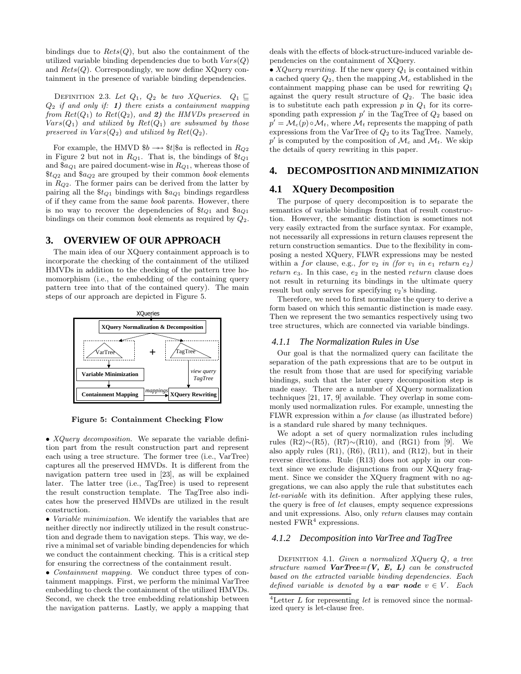bindings due to  $Rests(Q)$ , but also the containment of the utilized variable binding dependencies due to both  $Vars(Q)$ and  $Rests(Q)$ . Correspondingly, we now define XQuery containment in the presence of variable binding dependencies.

DEFINITION 2.3. Let  $Q_1$ ,  $Q_2$  be two XQueries.  $Q_1 \sqsubseteq$  $Q_2$  if and only if: **1**) there exists a containment mapping from  $Ret(Q_1)$  to  $Ret(Q_2)$ , and 2) the HMVDs preserved in  $Vars(Q_1)$  and utilized by  $Ret(Q_1)$  are subsumed by those preserved in  $Vars(Q_2)$  and utilized by  $Ret(Q_2)$ .

For example, the HMVD  $$b \rightarrow $t$$ <sub> $$a$ </sub> is reflected in  $R_{Q2}$ in Figure 2 but not in R*<sup>Q</sup>*1. That is, the bindings of \$t*<sup>Q</sup>*<sup>1</sup> and \$a*<sup>Q</sup>*<sup>1</sup> are paired document-wise in R*<sup>Q</sup>*1, whereas those of  $$t_{Q2}$$  and  $$a_{Q2}$$  are grouped by their common book elements in R*<sup>Q</sup>*2. The former pairs can be derived from the latter by pairing all the \$t*<sup>Q</sup>*<sup>1</sup> bindings with \$a*<sup>Q</sup>*<sup>1</sup> bindings regardless of if they came from the same book parents. However, there is no way to recover the dependencies of  $\text{\$t_{Q1}$}$  and  $\text{\$a_{Q1}$}$ bindings on their common *book* elements as required by  $Q_2$ .

## **3. OVERVIEW OF OUR APPROACH**

The main idea of our XQuery containment approach is to incorporate the checking of the containment of the utilized HMVDs in addition to the checking of the pattern tree homomorphism (i.e., the embedding of the containing query pattern tree into that of the contained query). The main steps of our approach are depicted in Figure 5.



**Figure 5: Containment Checking Flow**

• *XQuery decomposition*. We separate the variable definition part from the result construction part and represent each using a tree structure. The former tree (i.e., VarTree) captures all the preserved HMVDs. It is different from the navigation pattern tree used in [23], as will be explained later. The latter tree (i.e., TagTree) is used to represent the result construction template. The TagTree also indicates how the preserved HMVDs are utilized in the result construction.

• Variable minimization. We identify the variables that are neither directly nor indirectly utilized in the result construction and degrade them to navigation steps. This way, we derive a minimal set of variable binding dependencies for which we conduct the containment checking. This is a critical step for ensuring the correctness of the containment result.

• *Containment mapping*. We conduct three types of containment mappings. First, we perform the minimal VarTree embedding to check the containment of the utilized HMVDs. Second, we check the tree embedding relationship between the navigation patterns. Lastly, we apply a mapping that deals with the effects of block-structure-induced variable dependencies on the containment of XQuery.

• XQuery rewriting. If the new query  $Q_1$  is contained within a cached query  $Q_2$ , then the mapping  $\mathcal{M}_c$  established in the containment mapping phase can be used for rewriting  $Q_1$ against the query result structure of  $Q_2$ . The basic idea is to substitute each path expression  $p$  in  $Q_1$  for its corresponding path expression  $p'$  in the TagTree of  $Q_2$  based on  $p' = \mathcal{M}_c(p) \circ \mathcal{M}_t$ , where  $\mathcal{M}_t$  represents the mapping of path expressions from the VarTree of  $Q_2$  to its TagTree. Namely,  $p'$  is computed by the composition of  $\mathcal{M}_c$  and  $\mathcal{M}_t$ . We skip the details of query rewriting in this paper.

#### **4. DECOMPOSITION AND MINIMIZATION**

#### **4.1 XQuery Decomposition**

The purpose of query decomposition is to separate the semantics of variable bindings from that of result construction. However, the semantic distinction is sometimes not very easily extracted from the surface syntax. For example, not necessarily all expressions in return clauses represent the return construction semantics. Due to the flexibility in composing a nested XQuery, FLWR expressions may be nested within a for clause, e.g., for  $v_2$  in (for  $v_1$  in  $e_1$  return  $e_2$ ) return  $e_3$ . In this case,  $e_2$  in the nested return clause does not result in returning its bindings in the ultimate query result but only serves for specifying  $v_2$ 's binding.

Therefore, we need to first normalize the query to derive a form based on which this semantic distinction is made easy. Then we represent the two semantics respectively using two tree structures, which are connected via variable bindings.

#### *4.1.1 The Normalization Rules in Use*

Our goal is that the normalized query can facilitate the separation of the path expressions that are to be output in the result from those that are used for specifying variable bindings, such that the later query decomposition step is made easy. There are a number of XQuery normalization techniques [21, 17, 9] available. They overlap in some commonly used normalization rules. For example, unnesting the FLWR expression within a for clause (as illustrated before) is a standard rule shared by many techniques.

We adopt a set of query normalization rules including rules (R2)∼(R5), (R7)∼(R10), and (RG1) from [9]. We also apply rules  $(R1)$ ,  $(R6)$ ,  $(R11)$ , and  $(R12)$ , but in their reverse directions. Rule (R13) does not apply in our context since we exclude disjunctions from our XQuery fragment. Since we consider the XQuery fragment with no aggregations, we can also apply the rule that substitutes each let-variable with its definition. After applying these rules, the query is free of let clauses, empty sequence expressions and unit expressions. Also, only return clauses may contain nested  $\text{FWR}^4$  expressions.

#### *4.1.2 Decomposition into VarTree and TagTree*

DEFINITION 4.1. Given a normalized XQuery Q, a tree structure named  $VarTree=(V, E, L)$  can be constructed based on the extracted variable binding dependencies. Each defined variable is denoted by a **var node**  $v \in V$ . Each

<sup>&</sup>lt;sup>4</sup>Letter  $L$  for representing let is removed since the normalized query is let-clause free.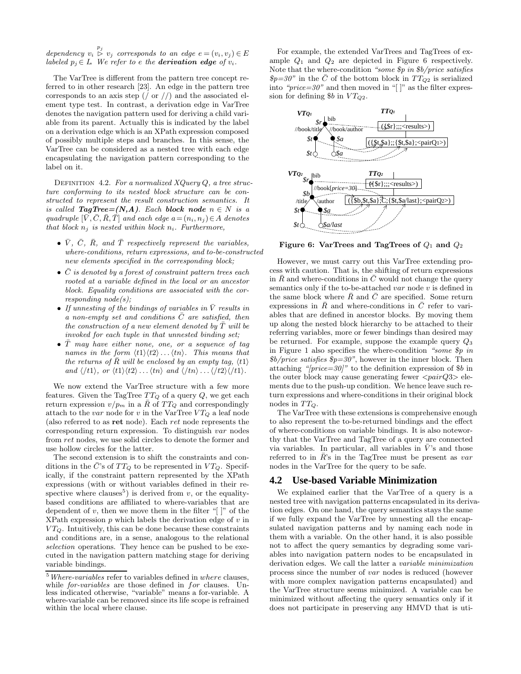dependency  $v_i \overset{p_j}{\triangleright} v_j$  corresponds to an edge  $e = (v_i, v_j) \in E$ labeled  $p_i \in L$ . We refer to e the **derivation edge** of  $v_i$ .

The VarTree is different from the pattern tree concept referred to in other research [23]. An edge in the pattern tree corresponds to an axis step  $\left(\frac{\pi}{\alpha}\right)$  and the associated element type test. In contrast, a derivation edge in VarTree denotes the navigation pattern used for deriving a child variable from its parent. Actually this is indicated by the label on a derivation edge which is an XPath expression composed of possibly multiple steps and branches. In this sense, the VarTree can be considered as a nested tree with each edge encapsulating the navigation pattern corresponding to the label on it.

DEFINITION 4.2. For a normalized  $XQueryQ$ , a tree structure conforming to its nested block structure can be constructed to represent the result construction semantics. It is called **TagTree**= $(N, A)$ . Each **block** node  $n \in N$  is a quadruple  $[\bar{V}, \bar{C}, \bar{R}, \bar{T}]$  and each edge  $a = (n_i, n_j) \in A$  denotes that block  $n_i$  is nested within block  $n_i$ . Furthermore,

- $\bar{V}$ ,  $\bar{C}$ ,  $\bar{R}$ , and  $\bar{T}$  respectively represent the variables, where-conditions, return expressions, and to-be-constructed new elements specified in the corresponding block;
- $\overline{C}$  is denoted by a forest of constraint pattern trees each rooted at a variable defined in the local or an ancestor block. Equality conditions are associated with the cor $responding\ node(s);$
- If unnesting of the bindings of variables in  $\overline{V}$  results in a non-empty set and conditions  $\overline{C}$  are satisfied, then the construction of a new element denoted by  $T^{\text{will}}$  be invoked for each tuple in that unnested binding set;
- $\overline{T}$  may have either none, one, or a sequence of tag names in the form  $\langle t1 \rangle \langle t2 \rangle \dots \langle tn \rangle$ . This means that the returns of R will be enclosed by an empty tag,  $\langle t1 \rangle$ and  $\langle t_1 \rangle$ , or  $\langle t_1 \rangle \langle t_2 \rangle \dots \langle t_n \rangle$  and  $\langle t_n \rangle \dots \langle t_n \rangle \langle t_1 \rangle$ .

We now extend the VarTree structure with a few more features. Given the TagTree  $TT_Q$  of a query  $Q$ , we get each return expression  $v/p_m$  in a  $\overline{R}$  of  $TT_Q$  and correspondingly attach to the var node for v in the VarTree  $VT_Q$  a leaf node (also referred to as **ret** node). Each ret node represents the corresponding return expression. To distinguish var nodes from ret nodes, we use solid circles to denote the former and use hollow circles for the latter.

The second extension is to shift the constraints and conditions in the  $\bar{C}$ 's of  $TT_Q$  to be represented in  $VT_Q$ . Specifically, if the constraint pattern represented by the XPath expressions (with or without variables defined in their respective where clauses<sup>5</sup>) is derived from  $v$ , or the equalitybased conditions are affiliated to where-variables that are dependent of  $v$ , then we move them in the filter "[]" of the XPath expression  $p$  which labels the derivation edge of  $v$  in  $VT_Q$ . Intuitively, this can be done because these constraints and conditions are, in a sense, analogous to the relational selection operations. They hence can be pushed to be executed in the navigation pattern matching stage for deriving variable bindings.

For example, the extended VarTrees and TagTrees of example  $Q_1$  and  $Q_2$  are depicted in Figure 6 respectively. Note that the where-condition "some *\$*p in *\$*b/price satisfies  $\oint p=30$ " in the  $\overline{C}$  of the bottom block in  $TT_{Q2}$  is serialized into " $price=30$ " and then moved in "[]" as the filter expression for defining  $$b$  in  $VT_{O2}$ .



**Figure 6: VarTrees and TagTrees of**  $Q_1$  and  $Q_2$ 

However, we must carry out this VarTree extending process with caution. That is, the shifting of return expressions in  $\overline{R}$  and where-conditions in  $\overline{C}$  would not change the query semantics only if the to-be-attached var node v is defined in the same block where  $\overline{R}$  and  $\overline{C}$  are specified. Some return expressions in  $\overline{R}$  and where-conditions in  $\overline{C}$  refer to variables that are defined in ancestor blocks. By moving them up along the nested block hierarchy to be attached to their referring variables, more or fewer bindings than desired may be returned. For example, suppose the example query  $Q_3$ in Figure 1 also specifies the where-condition "some *\$*p in *\$*b/price satisfies *\$*p=30", however in the inner block. Then attaching " $|price=30|$ " to the definition expression of \$b in the outer block may cause generating fewer  $\langle pairQ3\rangle$  elements due to the push-up condition. We hence leave such return expressions and where-conditions in their original block nodes in  $TT_Q$ .

The VarTree with these extensions is comprehensive enough to also represent the to-be-returned bindings and the effect of where-conditions on variable bindings. It is also noteworthy that the VarTree and TagTree of a query are connected via variables. In particular, all variables in  $\bar{V}$ 's and those referred to in  $\bar{R}$ 's in the TagTree must be present as var nodes in the VarTree for the query to be safe.

#### **4.2 Use-based Variable Minimization**

We explained earlier that the VarTree of a query is a nested tree with navigation patterns encapsulated in its derivation edges. On one hand, the query semantics stays the same if we fully expand the VarTree by unnesting all the encapsulated navigation patterns and by naming each node in them with a variable. On the other hand, it is also possible not to affect the query semantics by degrading some variables into navigation pattern nodes to be encapsulated in derivation edges. We call the latter a variable minimization process since the number of var nodes is reduced (however with more complex navigation patterns encapsulated) and the VarTree structure seems minimized. A variable can be minimized without affecting the query semantics only if it does not participate in preserving any HMVD that is uti-

 $^5$   $Where\mbox{-}variables$  refer to variables defined in  $where$  clauses, while *for-variables* are those defined in *for* clauses. Unless indicated otherwise, "variable" means a for-variable. A where-variable can be removed since its life scope is refrained within the local where clause.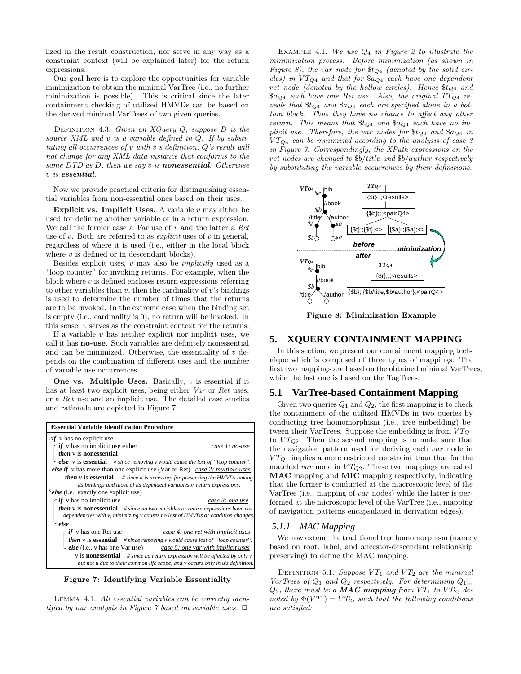lized in the result construction, nor serve in any way as a constraint context (will be explained later) for the return expressions.

Our goal here is to explore the opportunities for variable minimization to obtain the minimal VarTree (i.e., no further minimization is possible). This is critical since the later containment checking of utilized HMVDs can be based on the derived minimal VarTrees of two given queries.

DEFINITION 4.3. Given an  $XQuery Q$ , suppose D is the source XML and  $v$  is a variable defined in  $Q$ . If by substituting all occurrences of v with v's definition, Q's result will not change for any XML data instance that conforms to the same DTD as D, then we say v is *nonessential*. Otherwise v is *essential*.

Now we provide practical criteria for distinguishing essential variables from non-essential ones based on their uses.

**Explicit vs. Implicit Uses.** A variable  $v$  may either be used for defining another variable or in a return expression. We call the former case a  $Var$  use of  $v$  and the latter a  $Ret$ use of v. Both are referred to as  $explicit$  uses of v in general, regardless of where it is used (i.e., either in the local block where  $v$  is defined or in descendant blocks).

Besides explicit uses,  $v$  may also be *implicitly* used as a "loop counter" for invoking returns. For example, when the block where  $v$  is defined encloses return expressions referring to other variables than  $v$ , then the cardinality of  $v$ 's bindings is used to determine the number of times that the returns are to be invoked. In the extreme case when the binding set is empty (i.e., cardinality is 0), no return will be invoked. In this sense, v serves as the constraint context for the returns.

If a variable  $v$  has neither explicit nor implicit uses, we call it has **no-use**. Such variables are definitely nonessential and can be minimized. Otherwise, the essentiality of  $v$  depends on the combination of different uses and the number of variable use occurrences.

**One vs. Multiple Uses.** Basically, v is essential if it has at least two explicit uses, being either *Var* or *Ret* uses, or a Ret use and an implicit use. The detailed case studies and rationale are depicted in Figure 7.

| <b>Essential Variable Identification Procedure</b>                                                |                 |  |  |  |  |
|---------------------------------------------------------------------------------------------------|-----------------|--|--|--|--|
| $\gamma$ if v has no explicit use                                                                 |                 |  |  |  |  |
| $\int$ if v has no implicit use either                                                            | case 1: no-use  |  |  |  |  |
| <i>then</i> $\nu$ is nonessential                                                                 |                 |  |  |  |  |
| $\cup$ else v is essential # since removing v would cause the lost of "loop counter".             |                 |  |  |  |  |
| <b>else if</b> v has more than one explicit use (Var or Ret) case 2: multiple uses                |                 |  |  |  |  |
| <b>then</b> $v$ is <b>essential</b> $\#$ since it is necessary for preserving the HMVDs among     |                 |  |  |  |  |
| its bindings and those of its dependent variablesor return expressions.                           |                 |  |  |  |  |
| else (i.e., exactly one explicit use)                                                             |                 |  |  |  |  |
| $if$ v has no implicit use                                                                        | case 3: one use |  |  |  |  |
| <b>then</b> $v$ is <b>nonessential</b> $\#$ since no two variables or return expressions have co- |                 |  |  |  |  |
| dependencies with $v$ , minimizing $v$ causes no lost of HMVDs or condition changes.              |                 |  |  |  |  |
| else                                                                                              |                 |  |  |  |  |
| <i>if</i> v has one Ret use<br>case 4: one ret with implicit uses                                 |                 |  |  |  |  |
| <b>then</b> v is <b>essential</b> $\#$ since removing v would cause lost of "loop counter".       |                 |  |  |  |  |
| <i>else</i> (i.e., v has one Var use) $\frac{case\ 5: one\ var\ with\ implicit\ uses}$            |                 |  |  |  |  |
| v is <b>nonessential</b> # since no return expression will be affected by only v                  |                 |  |  |  |  |
| but not u due to their common life scope, and v occurs only in u's definition.                    |                 |  |  |  |  |

**Figure 7: Identifying Variable Essentiality**

Lemma 4.1. All essential variables can be correctly identified by our analysis in Figure 7 based on variable uses.  $\Box$ 

EXAMPLE 4.1. We use  $Q_4$  in Figure 2 to illustrate the minimization process. Before minimization (as shown in Figure 8), the var node for  $t_{Q4}$  (denoted by the solid circles) in V T*<sup>Q</sup>*<sup>4</sup> and that for \$a*<sup>Q</sup>*<sup>4</sup> each have one dependent ret node (denoted by the hollow circles). Hence \$t*<sup>Q</sup>*<sup>4</sup> and \$a*<sup>Q</sup>*<sup>4</sup> each have one Ret use. Also, the original T T*<sup>Q</sup>*<sup>4</sup> reveals that \$t*<sup>Q</sup>*<sup>4</sup> and \$a*<sup>Q</sup>*<sup>4</sup> each are specified alone in a bottom block. Thus they have no chance to affect any other return. This means that \$t*<sup>Q</sup>*<sup>4</sup> and \$a*<sup>Q</sup>*<sup>4</sup> each have no implicit use. Therefore, the var nodes for \$t*<sup>Q</sup>*<sup>4</sup> and \$a*<sup>Q</sup>*<sup>4</sup> in  $VT_{Q4}$  can be minimized according to the analysis of case 3 in Figure 7. Correspondingly, the XPath expressions on the ret nodes are changed to \$b/title and \$b/author respectively by substituting the variable occurrences by their definitions.



**Figure 8: Minimization Example**

#### **5. XQUERY CONTAINMENT MAPPING**

In this section, we present our containment mapping technique which is composed of three types of mappings. The first two mappings are based on the obtained minimal VarTrees, while the last one is based on the TagTrees.

## **5.1 VarTree-based Containment Mapping**

Given two queries  $Q_1$  and  $Q_2$ , the first mapping is to check the containment of the utilized HMVDs in two queries by conducting tree homomorphism (i.e., tree embedding) between their VarTrees. Suppose the embedding is from  $VT_{Q1}$ to  $VT_{Q2}$ . Then the second mapping is to make sure that the navigation pattern used for deriving each var node in  $VT_{Q1}$  implies a more restricted constraint than that for the matched var node in  $VT_{Q2}$ . These two mappings are called **MAC** mapping and **MIC** mapping respectively, indicating that the former is conducted at the macroscopic level of the VarTree (i.e., mapping of var nodes) while the latter is performed at the microscopic level of the VarTree (i.e., mapping of navigation patterns encapsulated in derivation edges).

#### *5.1.1 MAC Mapping*

We now extend the traditional tree homomorphism (namely based on root, label, and ancestor-descendant relationship preserving) to define the MAC mapping.

DEFINITION 5.1. Suppose  $VT_1$  and  $VT_2$  are the minimal VarTrees of  $Q_1$  and  $Q_2$  respectively. For determining  $Q_1 \square$  $Q_2$ , there must be a **MAC** mapping from  $VT_1$  to  $VT_2$ , denoted by  $\Phi(VT_1) = VT_2$ , such that the following conditions are satisfied: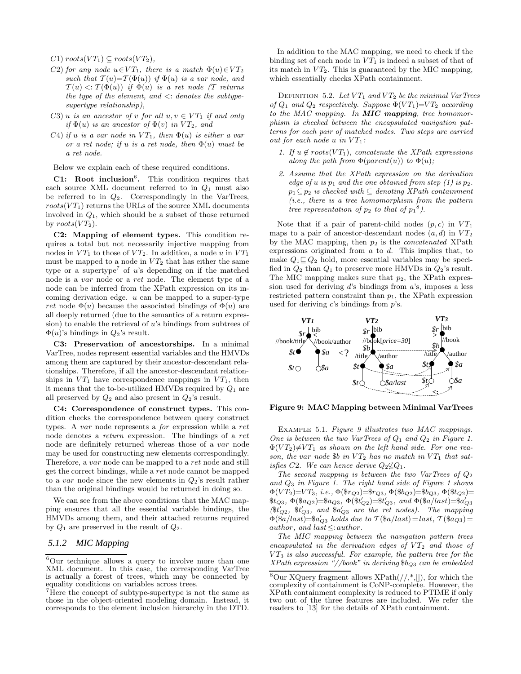C1)  $roots(VT_1) \subseteq roots(VT_2)$ ,

- C2) for any node  $u \in VT_1$ , there is a match  $\Phi(u) \in VT_2$ such that  $T(u)=T(\Phi(u))$  if  $\Phi(u)$  is a var node, and  $\mathcal{T}(u) \leq \mathcal{T}(\Phi(u))$  if  $\Phi(u)$  is a ret node (T returns the type of the element, and  $\langle$ : denotes the subtypesupertype relationship),
- C3) u is an ancestor of v for all  $u, v \in VT_1$  if and only if  $\Phi(u)$  is an ancestor of  $\Phi(v)$  in  $VT_2$ , and
- C4) if u is a var node in  $VT_1$ , then  $\Phi(u)$  is either a var or a ret node; if u is a ret node, then  $\Phi(u)$  must be a ret node.

Below we explain each of these required conditions.

**C1:** Root inclusion<sup>6</sup>. This condition requires that each source XML document referred to in  $Q_1$  must also be referred to in  $Q_2$ . Correspondingly in the VarTrees,  $roots(VT_1)$  returns the URLs of the source XML documents involved in  $Q_1$ , which should be a subset of those returned by  $roots(VT_2)$ .

**C2: Mapping of element types.** This condition requires a total but not necessarily injective mapping from nodes in  $VT_1$  to those of  $VT_2$ . In addition, a node u in  $VT_1$ must be mapped to a node in  $VT_2$  that has either the same type or a supertype<sup>7</sup> of  $u$ 's depending on if the matched node is a var node or a ret node. The element type of a node can be inferred from the XPath expression on its incoming derivation edge. u can be mapped to a super-type ret node  $\Phi(u)$  because the associated bindings of  $\Phi(u)$  are all deeply returned (due to the semantics of a return expression) to enable the retrieval of  $u$ 's bindings from subtrees of  $\Phi(u)$ 's bindings in  $Q_2$ 's result.

**C3: Preservation of ancestorships.** In a minimal VarTree, nodes represent essential variables and the HMVDs among them are captured by their ancestor-descendant relationships. Therefore, if all the ancestor-descendant relationships in  $VT_1$  have correspondence mappings in  $VT_1$ , then it means that the to-be-utilized HMVDs required by  $Q_1$  are all preserved by  $Q_2$  and also present in  $Q_2$ 's result.

**C4: Correspondence of construct types.** This condition checks the correspondence between query construct types. A var node represents a for expression while a ret node denotes a return expression. The bindings of a ret node are definitely returned whereas those of a var node may be used for constructing new elements correspondingly. Therefore, a var node can be mapped to a ret node and still get the correct bindings, while a ret node cannot be mapped to a var node since the new elements in  $Q_2$ 's result rather than the original bindings would be returned in doing so.

We can see from the above conditions that the MAC mapping ensures that all the essential variable bindings, the HMVDs among them, and their attached returns required by  $Q_1$  are preserved in the result of  $Q_2$ .

# *5.1.2 MIC Mapping*

In addition to the MAC mapping, we need to check if the binding set of each node in  $VT_1$  is indeed a subset of that of its match in  $VT_2$ . This is guaranteed by the MIC mapping, which essentially checks XPath containment.

DEFINITION 5.2. Let  $VT_1$  and  $VT_2$  be the minimal VarTrees of  $Q_1$  and  $Q_2$  respectively. Suppose  $\Phi(VT_1)=V T_2$  according to the MAC mapping. In *MIC mapping*, tree homomorphism is checked between the encapsulated navigation patterns for each pair of matched nodes. Two steps are carried out for each node u in  $VT_1$ :

- 1. If  $u \notin roots(VT_1)$ , concatenate the XPath expressions along the path from  $\Phi(parent(u))$  to  $\Phi(u)$ ;
- 2. Assume that the XPath expression on the derivation edge of u is  $p_1$  and the one obtained from step (1) is  $p_2$ .  $p_1 \subseteq p_2$  is checked with  $\subseteq$  denoting XPath containment (i.e., there is a tree homomorphism from the pattern tree representation of  $p_2$  to that of  $p_1^8$ ).

Note that if a pair of parent-child nodes  $(p, c)$  in  $VT_1$ maps to a pair of ancestor-descendant nodes  $(a, d)$  in  $VT_2$ by the MAC mapping, then  $p_2$  is the *concatenated* XPath expressions originated from  $a$  to  $d$ . This implies that, to make  $Q_1 \sqsubseteq Q_2$  hold, more essential variables may be specified in  $Q_2$  than  $Q_1$  to preserve more HMVDs in  $Q_2$ 's result. The MIC mapping makes sure that  $p_2$ , the XPath expression used for deriving  $d$ 's bindings from  $a$ 's, imposes a less restricted pattern constraint than  $p_1$ , the XPath expression used for deriving  $c$ 's bindings from  $p$ 's.



**Figure 9: MAC Mapping between Minimal VarTrees**

Example 5.1. Figure 9 illustrates two MAC mappings. One is between the two VarTrees of  $Q_1$  and  $Q_2$  in Figure 1.  $\Phi(VT_2)\neq V T_1$  as shown on the left hand side. For one reason, the var node  $b$  in  $VT_2$  has no match in  $VT_1$  that satisfies C2. We can hence derive  $Q_2 \not\subseteq Q_1$ .

The second mapping is between the two VarTrees of  $Q_2$ and  $Q_3$  in Figure 1. The right hand side of Figure 1 shows Φ(V T2)=V T3, i.e., Φ(\$r*<sup>Q</sup>*2)=\$r*<sup>Q</sup>*3, Φ(\$b*<sup>Q</sup>*2)=\$b*<sup>Q</sup>*3, Φ(\$t*<sup>Q</sup>*2)=  $*(\hat{b}_3, \Phi(\hat{b}_4) = \hat{b}_4) = (\hat{b}_3 + \hat{b}_4)$   $(\hat{b}_4 + \hat{b}_2) = (\hat{b}_4 + \hat{b}_3)$   $(\hat{b}_5 + \hat{b}_4) = (\hat{b}_4 - \hat{b}_4)$  $(*t'_{Q2}, *t'_{Q3}, and *a'_{Q3} are the ret nodes).$  The mapping  $\Phi(\tilde{a}/last) = \alpha'_{Q3}$  holds due to  $\mathcal{T}(\hat{a}/last) = last, \mathcal{T}(\hat{a}/data) =$ author, and last $\leq$ :author.

The MIC mapping between the navigation pattern trees encapsulated in the derivation edges of  $VT_2$  and those of  $VT_3$  is also successful. For example, the pattern tree for the XPath expression "//book" in deriving \$b*<sup>Q</sup>*<sup>3</sup> can be embedded

<sup>6</sup>Our technique allows a query to involve more than one XML document. In this case, the corresponding VarTree is actually a forest of trees, which may be connected by equality conditions on variables across trees.

 $7$  Here the concept of subtype-supertype is not the same as those in the object-oriented modeling domain. Instead, it corresponds to the element inclusion hierarchy in the DTD.

<sup>&</sup>lt;sup>8</sup>Our XQuery fragment allows  $XPath//,*,[]$ , for which the complexity of containment is CoNP-complete. However, the XPath containment complexity is reduced to PTIME if only two out of the three features are included. We refer the readers to [13] for the details of XPath containment.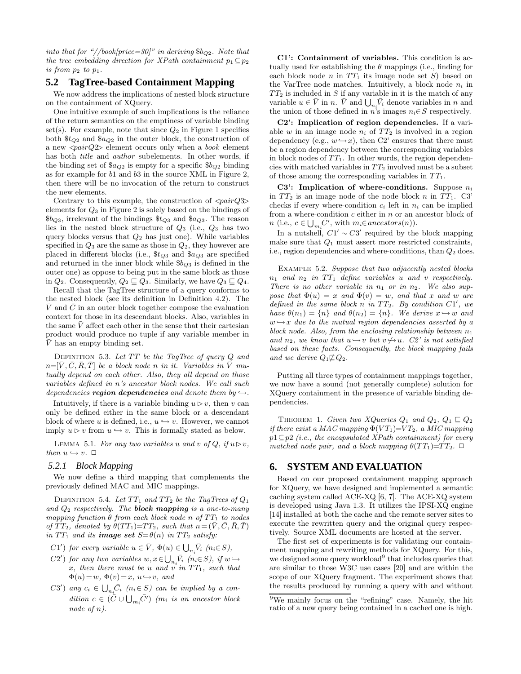into that for "//book/price=30]" in deriving  $b_{Q2}$ . Note that the tree embedding direction for XPath containment  $p_1 \subset p_2$ is from  $p_2$  to  $p_1$ .

#### **5.2 TagTree-based Containment Mapping**

We now address the implications of nested block structure on the containment of XQuery.

One intuitive example of such implications is the reliance of the return semantics on the emptiness of variable binding set(s). For example, note that since  $Q_2$  in Figure 1 specifies both \$t*<sup>Q</sup>*<sup>2</sup> and \$a*<sup>Q</sup>*<sup>2</sup> in the outer block, the construction of a new  $\langle pairQ2\rangle$  element occurs only when a *book* element has both *title* and *author* subelements. In other words, if the binding set of \$a*<sup>Q</sup>*<sup>2</sup> is empty for a specific \$b*<sup>Q</sup>*<sup>2</sup> binding as for example for b1 and b3 in the source XML in Figure 2, then there will be no invocation of the return to construct the new elements.

Contrary to this example, the construction of  $\langle pairQ3\rangle$ elements for  $Q_3$  in Figure 2 is solely based on the bindings of \$b*<sup>Q</sup>*3, irrelevant of the bindings \$t*<sup>Q</sup>*<sup>3</sup> and \$a*<sup>Q</sup>*3. The reason lies in the nested block structure of  $Q_3$  (i.e.,  $Q_3$  has two query blocks versus that  $Q_2$  has just one). While variables specified in  $Q_3$  are the same as those in  $Q_2$ , they however are placed in different blocks (i.e., \$t*<sup>Q</sup>*<sup>3</sup> and \$a*<sup>Q</sup>*<sup>3</sup> are specified and returned in the inner block while \$b*<sup>Q</sup>*<sup>3</sup> is defined in the outer one) as oppose to being put in the same block as those in  $Q_2$ . Consequently,  $Q_2 \sqsubseteq Q_3$ . Similarly, we have  $Q_3 \sqsubseteq Q_4$ .

Recall that the TagTree structure of a query conforms to the nested block (see its definition in Definition 4.2). The  $\overline{V}$  and  $\overline{C}$  in an outer block together compose the evaluation context for those in its descendant blocks. Also, variables in the same  $\bar{V}$  affect each other in the sense that their cartesian product would produce no tuple if any variable member in  $\overline{V}$  has an empty binding set.

DEFINITION 5.3. Let  $TT$  be the TagTree of query  $Q$  and  $n=[\bar{V}, \bar{C}, \bar{R}, \bar{T}]$  be a block node n in it. Variables in  $\bar{V}$  mutually depend on each other. Also, they all depend on those variables defined in n's ancestor block nodes. We call such dependencies **region dependencies** and denote them by  $\hookrightarrow$ .

Intuitively, if there is a variable binding  $u \triangleright v$ , then v can only be defined either in the same block or a descendant block of where u is defined, i.e.,  $u \hookrightarrow v$ . However, we cannot imply  $u \triangleright v$  from  $u \hookrightarrow v$ . This is formally stated as below.

LEMMA 5.1. For any two variables u and v of Q, if  $u \triangleright v$ , then  $u \hookrightarrow v$ .  $\Box$ 

#### *5.2.1 Block Mapping*

We now define a third mapping that complements the previously defined MAC and MIC mappings.

DEFINITION 5.4. Let  $TT_1$  and  $TT_2$  be the TagTrees of  $Q_1$ and Q<sup>2</sup> respectively. The *block mapping* is a one-to-many mapping function  $\theta$  from each block node n of  $TT_1$  to nodes of  $TT_2$ , denoted by  $\theta(TT_1)=TT_2$ , such that  $n=(V, C, R, T)$ in  $TT_1$  and its **image set**  $S = \theta(n)$  in  $TT_2$  satisfy:

- C1') for every variable  $u \in \overline{V}$ ,  $\Phi(u) \in \bigcup_{n_i} \overline{V}_i$  ( $n_i \in S$ ),
- $C2'$  for any two variables  $w, x \in \bigcup_{n_i} \overline{V}_i \ (n_i \in S), \ if \ w \hookrightarrow$  $x$ , then there must be u and  $\overrightarrow{v}$  in  $TT_1$ , such that  $\Phi(u) = w, \ \Phi(v) = x, \ u \hookrightarrow v, \ and$
- $C3'$  any  $c_i \in \bigcup_{n_i} \bar{C}_i$   $(n_i \in S)$  can be implied by a con $dition \ c \in (\bar{\tilde{C}} \cup \bigcup_{m_i} \bar{C}') \ \ (m_i \ \ is \ \ an \ \ ancestor \ block$ node of n).

**C1': Containment of variables.** This condition is actually used for establishing the  $\theta$  mappings (i.e., finding for each block node n in  $TT_1$  its image node set S) based on the VarTree node matches. Intuitively, a block node n*<sup>i</sup>* in  $TT_2$  is included in S if any variable in it is the match of any variable  $u \in \overline{V}$  in n.  $\overline{V}$  and  $\bigcup_{n_i} \overline{V}_i$  denote variables in n and the union of those defined in  $n^3$ s images  $n_i \in S$  respectively.

**C2': Implication of region dependencies.** If a variable  $w$  in an image node  $n_i$  of  $TT_2$  is involved in a region dependency (e.g.,  $w \rightarrow x$ ), then C2' ensures that there must be a region dependency between the corresponding variables in block nodes of  $TT_1$ . In other words, the region dependencies with matched variables in  $TT_2$  involved must be a subset of those among the corresponding variables in  $TT_1$ .

**C3': Implication of where-conditions.** Suppose n*<sup>i</sup>* in  $TT_2$  is an image node of the node block n in  $TT_1$ . C3' checks if every where-condition  $c_i$  left in  $n_i$  can be implied from a where-condition  $c$  either in  $\boldsymbol{n}$  or an ancestor block of *n* (i.e.,  $c \in \bigcup_{m_i} \bar{C}'$ , with  $m_i \in ancestors(n)$ ).

In a nutshell,  $C1' \sim C3'$  required by the block mapping make sure that  $Q_1$  must assert more restricted constraints, i.e., region dependencies and where-conditions, than  $Q_2$  does.

EXAMPLE 5.2. Suppose that two adjacently nested blocks  $n_1$  and  $n_2$  in  $TT_1$  define variables u and v respectively. There is no other variable in  $n_1$  or in  $n_2$ . We also suppose that  $\Phi(u) = x$  and  $\Phi(v) = w$ , and that x and w are defined in the same block n in  $TT_2$ . By condition C1', we have  $\theta(n_1) = \{n\}$  and  $\theta(n_2) = \{n\}$ . We derive  $x \hookrightarrow w$  and  $w \rightarrow x$  due to the mutual region dependencies asserted by a block node. Also, from the enclosing relationship between  $n_1$ and  $n_2$ , we know that  $u \hookrightarrow v$  but  $v \nrightarrow u$ . C2' is not satisfied based on these facts. Consequently, the block mapping fails and we derive  $Q_1 \not\sqsubseteq Q_2$ .

Putting all three types of containment mappings together, we now have a sound (not generally complete) solution for XQuery containment in the presence of variable binding dependencies.

THEOREM 1. Given two XQueries  $Q_1$  and  $Q_2$ ,  $Q_1 \sqsubseteq Q_2$ if there exist a MAC mapping  $\Phi(VT_1)=V T_2$ , a MIC mapping  $p1 \subseteq p2$  (i.e., the encapsulated XPath containment) for every matched node pair, and a block mapping  $\theta(TT_1)=TT_2$ .  $\Box$ 

## **6. SYSTEM AND EVALUATION**

Based on our proposed containment mapping approach for XQuery, we have designed and implemented a semantic caching system called ACE-XQ  $[6, 7]$ . The ACE-XQ system is developed using Java 1.3. It utilizes the IPSI-XQ engine [14] installed at both the cache and the remote server sites to execute the rewritten query and the original query respectively. Source XML documents are hosted at the server.

The first set of experiments is for validating our containment mapping and rewriting methods for XQuery. For this, we designed some query workload<sup>9</sup> that includes queries that are similar to those W3C use cases [20] and are within the scope of our XQuery fragment. The experiment shows that the results produced by running a query with and without

<sup>9</sup>We mainly focus on the "refining" case. Namely, the hit ratio of a new query being contained in a cached one is high.